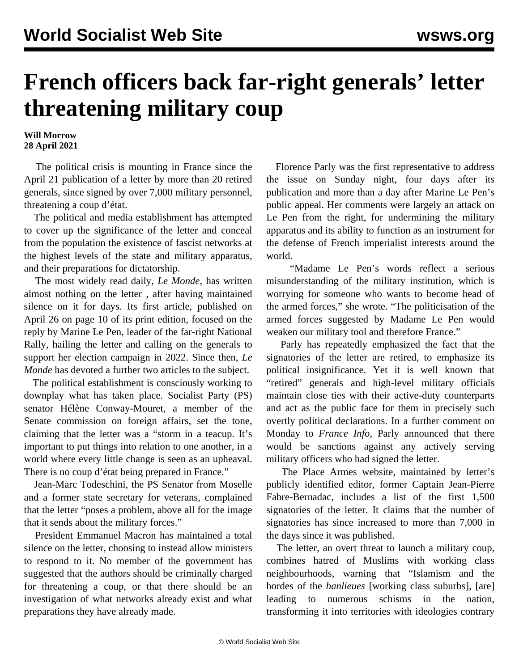## **French officers back far-right generals' letter threatening military coup**

## **Will Morrow 28 April 2021**

 The political crisis is mounting in France since the April 21 publication of a letter by more than 20 retired generals, since signed by over 7,000 military personnel, threatening a coup d'état.

 The political and media establishment has attempted to cover up the significance of the letter and conceal from the population the existence of fascist networks at the highest levels of the state and military apparatus, and their preparations for dictatorship.

 The most widely read daily, *Le Monde*, has written almost nothing on the letter *,* after having maintained silence on it for days. Its first article, published on April 26 on page 10 of its print edition, focused on the reply by Marine Le Pen, leader of the far-right National Rally, hailing the letter and calling on the generals to support her election campaign in 2022. Since then, *Le Monde* has devoted a further two articles to the subject.

 The political establishment is consciously working to downplay what has taken place. Socialist Party (PS) senator Hélène Conway-Mouret, a member of the Senate commission on foreign affairs, set the tone, claiming that the letter was a "storm in a teacup. It's important to put things into relation to one another, in a world where every little change is seen as an upheaval. There is no coup d'état being prepared in France."

 Jean-Marc Todeschini, the PS Senator from Moselle and a former state secretary for veterans, complained that the letter "poses a problem, above all for the image that it sends about the military forces."

 President Emmanuel Macron has maintained a total silence on the letter, choosing to instead allow ministers to respond to it. No member of the government has suggested that the authors should be criminally charged for threatening a coup, or that there should be an investigation of what networks already exist and what preparations they have already made.

 Florence Parly was the first representative to address the issue on Sunday night, four days after its publication and more than a day after Marine Le Pen's public appeal. Her comments were largely an attack on Le Pen from the right, for undermining the military apparatus and its ability to function as an instrument for the defense of French imperialist interests around the world.

 "Madame Le Pen's words reflect a serious misunderstanding of the military institution, which is worrying for someone who wants to become head of the armed forces," she wrote. "The politicisation of the armed forces suggested by Madame Le Pen would weaken our military tool and therefore France."

 Parly has repeatedly emphasized the fact that the signatories of the letter are retired, to emphasize its political insignificance. Yet it is well known that "retired" generals and high-level military officials maintain close ties with their active-duty counterparts and act as the public face for them in precisely such overtly political declarations. In a further comment on Monday to *France Info*, Parly announced that there would be sanctions against any actively serving military officers who had signed the letter.

 The Place Armes website, maintained by letter's publicly identified editor, former Captain Jean-Pierre Fabre-Bernadac, includes a list of the first 1,500 signatories of the letter. It claims that the number of signatories has since increased to more than 7,000 in the days since it was published.

 The letter, an overt threat to launch a military coup, combines hatred of Muslims with working class neighbourhoods, warning that "Islamism and the hordes of the *banlieues* [working class suburbs], [are] leading to numerous schisms in the nation, transforming it into territories with ideologies contrary